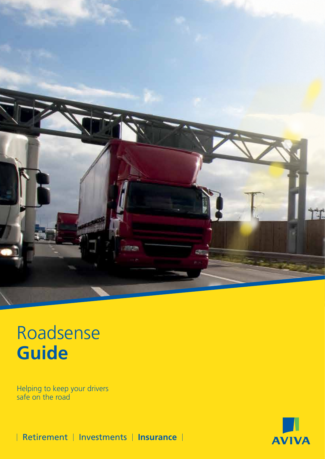

## Roadsense **Guide**

Helping to keep your drivers safe on the road



**Retirement | Investments | Insurance |**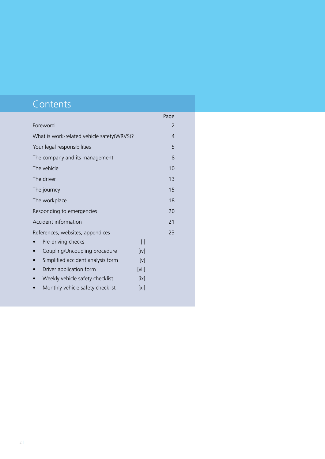### **Contents**

|                                            |         | Page |
|--------------------------------------------|---------|------|
| Foreword                                   |         | 2    |
| What is work-related vehicle safety(WRVS)? |         | 4    |
| Your legal responsibilities                |         | 5    |
| The company and its management             |         | 8    |
| The vehicle                                |         | 10   |
| The driver                                 |         | 13   |
| The journey                                |         | 15   |
| The workplace                              |         | 18   |
| Responding to emergencies                  |         | 20   |
| Accident information                       |         | 21   |
| References, websites, appendices           |         | 23   |
| Pre-driving checks                         | [1]     |      |
| Coupling/Uncoupling procedure              | [iv]    |      |
| Simplified accident analysis form          | [v]     |      |
| Driver application form                    | [vii]   |      |
| Weekly vehicle safety checklist            | [ix]    |      |
| Monthly vehicle safety checklist           | $[x_i]$ |      |
|                                            |         |      |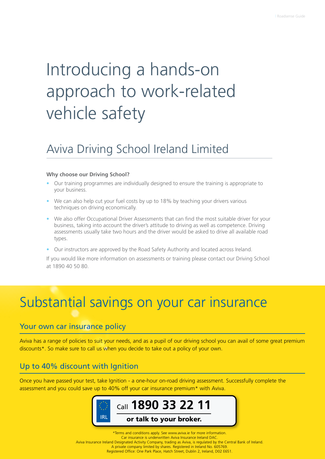## Introducing a hands-on approach to work-related vehicle safety

### Aviva Driving School Ireland Limited

#### **Why choose our Driving School?**

- Our training programmes are individually designed to ensure the training is appropriate to your business.
- We can also help cut your fuel costs by up to 18% by teaching your drivers various techniques on driving economically.
- We also offer Occupational Driver Assessments that can find the most suitable driver for your business, taking into account the driver's attitude to driving as well as competence. Driving assessments usually take two hours and the driver would be asked to drive all available road types.
- Our instructors are approved by the Road Safety Authority and located across Ireland.

If you would like more information on assessments or training please contact our Driving School at 1890 40 50 80.

### Substantial savings on your car insurance

#### Your own car insurance policy

Aviva has a range of policies to suit your needs, and as a pupil of our driving school you can avail of some great premium discounts\*. So make sure to call us when you decide to take out a policy of your own.

#### Up to 40% discount with Ignition

Once you have passed your test, take Ignition - a one-hour on-road driving assessment. Successfully complete the assessment and you could save up to 40% off your car insurance premium\* with Aviva.



\*Terms and conditions apply. See www.aviva.ie for more information. Car insurance is underwritten Aviva Insurance Ireland DAC. Aviva Insurance Ireland Designated Activity Company, trading as Aviva, is regulated by the Central Bank of Ireland. A private company limited by shares. Registered in Ireland No. 605769. Registered Office: One Park Place, Hatch Street, Dublin 2, Ireland, D02 E651.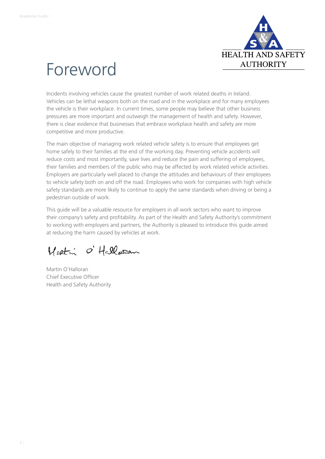

### Foreword

Incidents involving vehicles cause the greatest number of work related deaths in Ireland. Vehicles can be lethal weapons both on the road and in the workplace and for many employees the vehicle is their workplace. In current times, some people may believe that other business pressures are more important and outweigh the management of health and safety. However, there is clear evidence that businesses that embrace workplace health and safety are more competitive and more productive.

The main objective of managing work related vehicle safety is to ensure that employees get home safely to their families at the end of the working day. Preventing vehicle accidents will reduce costs and most importantly, save lives and reduce the pain and suffering of employees, their families and members of the public who may be affected by work related vehicle activities. Employers are particularly well placed to change the attitudes and behaviours of their employees to vehicle safety both on and off the road. Employees who work for companies with high vehicle safety standards are more likely to continue to apply the same standards when driving or being a pedestrian outside of work.

This guide will be a valuable resource for employers in all work sectors who want to improve their company's safety and profitability. As part of the Health and Safety Authority's commitment to working with employers and partners, the Authority is pleased to introduce this guide aimed at reducing the harm caused by vehicles at work.

Martin O'Hallasan

Martin O'Halloran Chief Executive Officer Health and Safety Authority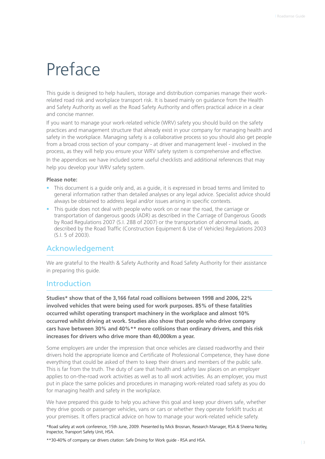### Preface

This guide is designed to help hauliers, storage and distribution companies manage their workrelated road risk and workplace transport risk. It is based mainly on guidance from the Health and Safety Authority as well as the Road Safety Authority and offers practical advice in a clear and concise manner.

If you want to manage your work-related vehicle (WRV) safety you should build on the safety practices and management structure that already exist in your company for managing health and safety in the workplace. Managing safety is a collaborative process so you should also get people from a broad cross section of your company - at driver and management level - involved in the process, as they will help you ensure your WRV safety system is comprehensive and effective.

In the appendices we have included some useful checklists and additional references that may help you develop your WRV safety system.

#### **Please note:**

- This document is a guide only and, as a guide, it is expressed in broad terms and limited to general information rather than detailed analyses or any legal advice. Specialist advice should always be obtained to address legal and/or issues arising in specific contexts.
- This quide does not deal with people who work on or near the road, the carriage or transportation of dangerous goods (ADR) as described in the Carriage of Dangerous Goods by Road Regulations 2007 (S.I. 288 of 2007) or the transportation of abnormal loads, as described by the Road Traffic (Construction Equipment & Use of Vehicles) Regulations 2003 (S.I. 5 of 2003).

#### Acknowledgement

We are grateful to the Health & Safety Authority and Road Safety Authority for their assistance in preparing this guide.

#### Introduction

**Studies\* show that of the 3,166 fatal road collisions between 1998 and 2006, 22% involved vehicles that were being used for work purposes. 85% of these fatalities occurred whilst operating transport machinery in the workplace and almost 10% occurred whilst driving at work. Studies also show that people who drive company cars have between 30% and 40%\*\* more collisions than ordinary drivers, and this risk increases for drivers who drive more than 40,000km a year.** 

Some employers are under the impression that once vehicles are classed roadworthy and their drivers hold the appropriate licence and Certificate of Professional Competence, they have done everything that could be asked of them to keep their drivers and members of the public safe. This is far from the truth. The duty of care that health and safety law places on an employer applies to on-the-road work activities as well as to all work activities. As an employer, you must put in place the same policies and procedures in managing work-related road safety as you do for managing health and safety in the workplace.

We have prepared this guide to help you achieve this goal and keep your drivers safe, whether they drive goods or passenger vehicles, vans or cars or whether they operate forklift trucks at your premises. It offers practical advice on how to manage your work-related vehicle safety.

\*Road safety at work conference, 15th June, 2009. Presented by Mick Brosnan, Research Manager, RSA & Sheena Notley, Inspector, Transport Safety Unit, HSA.

\*\*30-40% of company car drivers citation: Safe Driving for Work guide - RSA and HSA.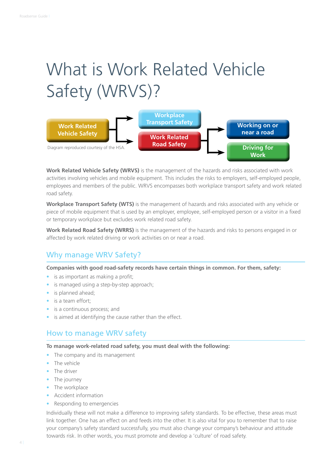## What is Work Related Vehicle Safety (WRVS)?



**Work Related Vehicle Safety (WRVS)** is the management of the hazards and risks associated with work activities involving vehicles and mobile equipment. This includes the risks to employers, self-employed people, employees and members of the public. WRVS encompasses both workplace transport safety and work related road safety.

**Workplace Transport Safety (WTS)** is the management of hazards and risks associated with any vehicle or piece of mobile equipment that is used by an employer, employee, self-employed person or a visitor in a fixed or temporary workplace but excludes work related road safety.

**Work Related Road Safety (WRRS)** is the management of the hazards and risks to persons engaged in or affected by work related driving or work activities on or near a road.

#### Why manage WRV Safety?

**Companies with good road-safety records have certain things in common. For them, safety:**

- is as important as making a profit;
- is managed using a step-by-step approach:
- is planned ahead;
- is a team effort;
- is a continuous process; and
- is aimed at identifying the cause rather than the effect.

#### How to manage WRV safety

#### **To manage work-related road safety, you must deal with the following:**

- The company and its management
- The vehicle
- The driver
- The journey
- The workplace
- Accident information
- Responding to emergencies

Individually these will not make a difference to improving safety standards. To be effective, these areas must link together. One has an effect on and feeds into the other. It is also vital for you to remember that to raise your company's safety standard successfully, you must also change your company's behaviour and attitude towards risk. In other words, you must promote and develop a 'culture' of road safety.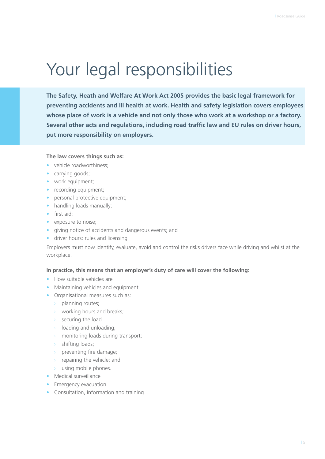### Your legal responsibilities

**The Safety, Heath and Welfare At Work Act 2005 provides the basic legal framework for preventing accidents and ill health at work. Health and safety legislation covers employees whose place of work is a vehicle and not only those who work at a workshop or a factory. Several other acts and regulations, including road traffic law and EU rules on driver hours, put more responsibility on employers.** 

#### **The law covers things such as:**

- vehicle roadworthiness:
- carrying goods;
- work equipment;
- recording equipment;
- personal protective equipment;
- handling loads manually;
- first aid;
- exposure to noise;
- giving notice of accidents and dangerous events; and
- driver hours: rules and licensing

Employers must now identify, evaluate, avoid and control the risks drivers face while driving and whilst at the workplace.

#### **In practice, this means that an employer's duty of care will cover the following:**

- How suitable vehicles are
- Maintaining vehicles and equipment
- Organisational measures such as:
	- › planning routes;
	- › working hours and breaks;
	- $\rightarrow$  securing the load
	- $\rightarrow$  loading and unloading;
	- › monitoring loads during transport;
	- › shifting loads;
	- › preventing fire damage;
	- $\rightarrow$  repairing the vehicle; and
	- $\rightarrow$  using mobile phones.
- Medical surveillance
- Emergency evacuation
- Consultation, information and training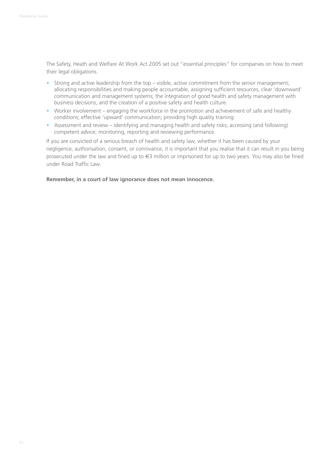The Safety, Heath and Welfare At Work Act 2005 set out "essential principles" for companies on how to meet their legal obligations.

- Strong and active leadership from the top visible, active commitment from the senior management; allocating responsibilities and making people accountable, assigning sufficient resources, clear 'downward' communication and management systems; the integration of good health and safety management with business decisions, and the creation of a positive safety and health culture.
- Worker involvement engaging the workforce in the promotion and achievement of safe and healthy conditions; effective 'upward' communication; providing high quality training.
- Assessment and review identifying and managing health and safety risks; accessing (and following) competent advice; monitoring, reporting and reviewing performance.

If you are convicted of a serious breach of health and safety law, whether it has been caused by your negligence, authorisation, consent, or connivance, it is important that you realise that it can result in you being prosecuted under the law and fined up to €3 million or imprisoned for up to two years. You may also be fined under Road Traffic Law.

#### **Remember, in a court of law ignorance does not mean innocence.**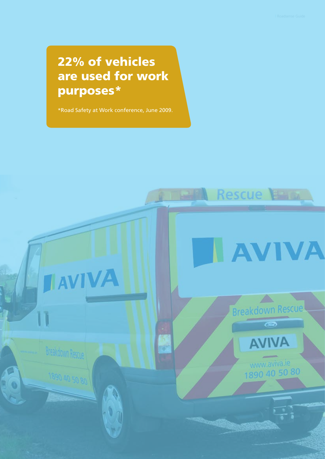### 22% of vehicles are used for work purposes\*

\*Road Safety at Work conference, June 2009.

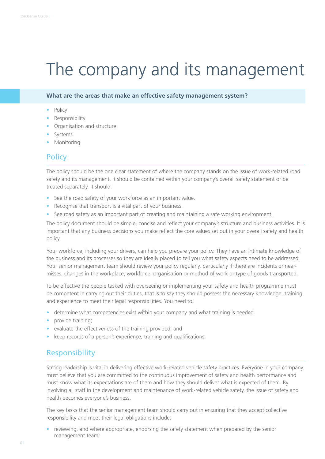### The company and its management

#### **What are the areas that make an effective safety management system?**

- Policy
- Responsibility
- Organisation and structure
- **Systems**
- **Monitoring**

#### **Policy**

The policy should be the one clear statement of where the company stands on the issue of work-related road safety and its management. It should be contained within your company's overall safety statement or be treated separately. It should:

- See the road safety of your workforce as an important value.
- Recognise that transport is a vital part of your business.
- See road safety as an important part of creating and maintaining a safe working environment.

The policy document should be simple, concise and reflect your company's structure and business activities. It is important that any business decisions you make reflect the core values set out in your overall safety and health policy.

Your workforce, including your drivers, can help you prepare your policy. They have an intimate knowledge of the business and its processes so they are ideally placed to tell you what safety aspects need to be addressed. Your senior management team should review your policy regularly, particularly if there are incidents or nearmisses, changes in the workplace, workforce, organisation or method of work or type of goods transported.

To be effective the people tasked with overseeing or implementing your safety and health programme must be competent in carrying out their duties, that is to say they should possess the necessary knowledge, training and experience to meet their legal responsibilities. You need to:

- determine what competencies exist within your company and what training is needed
- provide training;
- evaluate the effectiveness of the training provided; and
- keep records of a person's experience, training and qualifications.

#### **Responsibility**

Strong leadership is vital in delivering effective work-related vehicle safety practices. Everyone in your company must believe that you are committed to the continuous improvement of safety and health performance and must know what its expectations are of them and how they should deliver what is expected of them. By involving all staff in the development and maintenance of work-related vehicle safety, the issue of safety and health becomes everyone's business.

The key tasks that the senior management team should carry out in ensuring that they accept collective responsibility and meet their legal obligations include:

• reviewing, and where appropriate, endorsing the safety statement when prepared by the senior management team;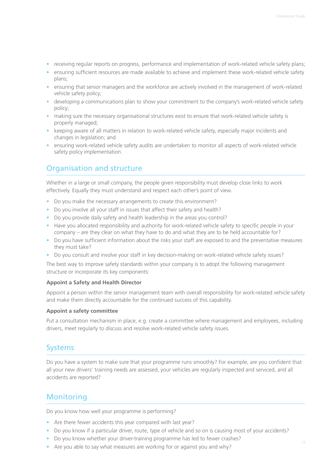- receiving regular reports on progress, performance and implementation of work-related vehicle safety plans;
- ensuring sufficient resources are made available to achieve and implement these work-related vehicle safety plans;
- ensuring that senior managers and the workforce are actively involved in the management of work-related vehicle safety policy;
- developing a communications plan to show your commitment to the company's work-related vehicle safety policy;
- making sure the necessary organisational structures exist to ensure that work-related vehicle safety is properly managed;
- keeping aware of all matters in relation to work-related vehicle safety, especially major incidents and changes in legislation; and
- ensuring work-related vehicle safety audits are undertaken to monitor all aspects of work-related vehicle safety policy implementation.

#### Organisation and structure

Whether in a large or small company, the people given responsibility must develop close links to work effectively. Equally they must understand and respect each other's point of view.

- Do you make the necessary arrangements to create this environment?
- Do you involve all your staff in issues that affect their safety and health?
- Do you provide daily safety and health leadership in the areas you control?
- Have you allocated responsibility and authority for work-related vehicle safety to specific people in your company – are they clear on what they have to do and what they are to be held accountable for?
- Do you have sufficient information about the risks your staff are exposed to and the preventative measures they must take?
- Do you consult and involve your staff in key decision-making on work-related vehicle safety issues?

The best way to improve safety standards within your company is to adopt the following management structure or incorporate its key components:

#### **Appoint a Safety and Health Director**

Appoint a person within the senior management team with overall responsibility for work-related vehicle safety and make them directly accountable for the continued success of this capability.

#### **Appoint a safety committee**

Put a consultation mechanism in place, e.g. create a committee where management and employees, including drivers, meet regularly to discuss and resolve work-related vehicle safety issues.

#### Systems

Do you have a system to make sure that your programme runs smoothly? For example, are you confident that all your new drivers' training needs are assessed, your vehicles are regularly inspected and serviced, and all accidents are reported?

#### **Monitoring**

Do you know how well your programme is performing?

- Are there fewer accidents this year compared with last year?
- Do you know if a particular driver, route, type of vehicle and so on is causing most of your accidents?
- Do you know whether your driver-training programme has led to fewer crashes?
- Are you able to say what measures are working for or against you and why?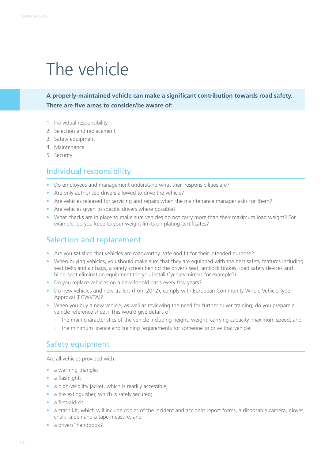### The vehicle

**A properly-maintained vehicle can make a significant contribution towards road safety. There are five areas to consider/be aware of:**

- 1. Individual responsibility
- 2. Selection and replacement
- 3. Safety equipment
- 4. Maintenance
- 5. Security

#### Individual responsibility

- Do employees and management understand what their responsibilities are?
- Are only authorised drivers allowed to drive the vehicle?
- Are vehicles released for servicing and repairs when the maintenance manager asks for them?
- Are vehicles given to specific drivers where possible?
- What checks are in place to make sure vehicles do not carry more than their maximum load weight? For example, do you keep to your weight limits on plating certificates?

#### Selection and replacement

- Are you satisfied that vehicles are roadworthy, safe and fit for their intended purpose?
- When buying vehicles, you should make sure that they are equipped with the best safety features including seat belts and air bags, a safety screen behind the driver's seat, antilock brakes, load safety devices and blind-spot elimination equipment (do you install Cyclops mirrors for example?).
- Do you replace vehicles on a new-for-old basis every few years?
- Do new vehicles and new trailers (from 2012), comply with European Community Whole Vehicle Type Approval (ECWVTA)?
- When you buy a new vehicle, as well as reviewing the need for further driver training, do you prepare a vehicle reference sheet? This would give details of:
	- $\rightarrow$  the main characteristics of the vehicle including height, weight, carrying capacity, maximum speed; and
	- the minimum licence and training requirements for someone to drive that vehicle.

#### Safety equipment

Are all vehicles provided with:

- a warning triangle;
- a flashlight;
- a high-visibility jacket, which is readily accessible:
- a fire extinguisher, which is safely secured;
- a first-aid kit;
- a crash kit, which will include copies of the incident and accident report forms, a disposable camera, gloves, chalk, a pen and a tape measure; and
- a drivers' handbook?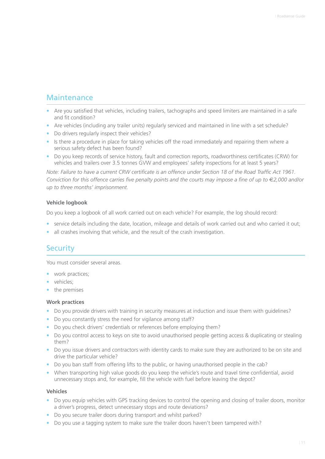#### Maintenance

- Are you satisfied that vehicles, including trailers, tachographs and speed limiters are maintained in a safe and fit condition?
- Are vehicles (including any trailer units) regularly serviced and maintained in line with a set schedule?
- Do drivers regularly inspect their vehicles?
- Is there a procedure in place for taking vehicles off the road immediately and repairing them where a serious safety defect has been found?
- Do you keep records of service history, fault and correction reports, roadworthiness certificates (CRW) for vehicles and trailers over 3.5 tonnes GVW and employees' safety inspections for at least 5 years?

*Note: Failure to have a current CRW certificate is an offence under Section 18 of the Road Traffic Act 1961. Conviction for this offence carries five penalty points and the courts may impose a fine of up to €2,000 and/or up to three months' imprisonment.*

#### **Vehicle logbook**

Do you keep a logbook of all work carried out on each vehicle? For example, the log should record:

- service details including the date, location, mileage and details of work carried out and who carried it out;
- all crashes involving that vehicle, and the result of the crash investigation.

#### **Security**

You must consider several areas.

- work practices;
- vehicles;
- the premises

#### **Work practices**

- Do you provide drivers with training in security measures at induction and issue them with guidelines?
- Do you constantly stress the need for vigilance among staff?
- Do you check drivers' credentials or references before employing them?
- Do you control access to keys on site to avoid unauthorised people getting access & duplicating or stealing them?
- Do you issue drivers and contractors with identity cards to make sure they are authorized to be on site and drive the particular vehicle?
- Do you ban staff from offering lifts to the public, or having unauthorised people in the cab?
- When transporting high value goods do you keep the vehicle's route and travel time confidential, avoid unnecessary stops and, for example, fill the vehicle with fuel before leaving the depot?

#### **Vehicles**

- Do you equip vehicles with GPS tracking devices to control the opening and closing of trailer doors, monitor a driver's progress, detect unnecessary stops and route deviations?
- Do you secure trailer doors during transport and whilst parked?
- Do you use a tagging system to make sure the trailer doors haven't been tampered with?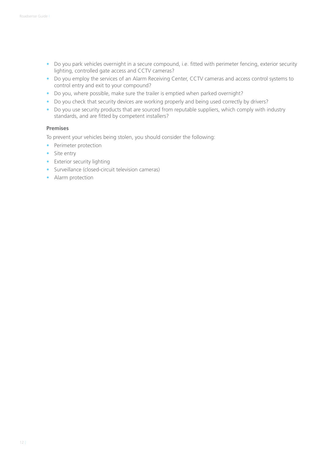- Do you park vehicles overnight in a secure compound, i.e. fitted with perimeter fencing, exterior security lighting, controlled gate access and CCTV cameras?
- Do you employ the services of an Alarm Receiving Center, CCTV cameras and access control systems to control entry and exit to your compound?
- Do you, where possible, make sure the trailer is emptied when parked overnight?
- Do you check that security devices are working properly and being used correctly by drivers?
- Do you use security products that are sourced from reputable suppliers, which comply with industry standards, and are fitted by competent installers?

#### **Premises**

To prevent your vehicles being stolen, you should consider the following:

- Perimeter protection
- Site entry
- Exterior security lighting
- Surveillance (closed-circuit television cameras)
- Alarm protection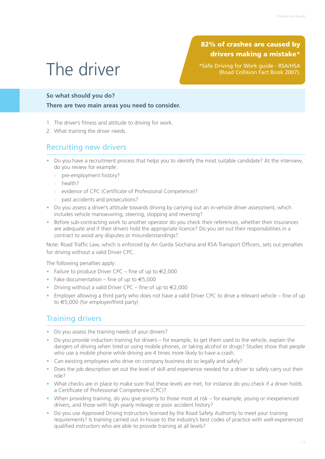### The driver

82% of crashes are caused by drivers making a mistake\*

\*Safe Driving for Work guide - RSA/HSA (Road Collision Fact Book 2007).

#### **So what should you do?**

**There are two main areas you need to consider.**

- 1. The driver's fitness and attitude to driving for work.
- 2. What training the driver needs.

#### Recruiting new drivers

- Do you have a recruitment process that helps you to identify the most suitable candidate? At the interview, do you review for example:
	- pre-employment history?
	- › health?
	- › evidence of CPC (Certificate of Professional Competence)?
	- › past accidents and prosecutions?
- Do you assess a driver's attitude towards driving by carrying out an in-vehicle driver assessment, which includes vehicle manoeuvring, steering, stopping and reversing?
- Before sub-contracting work to another operator do you check their references, whether their insurances are adequate and if their drivers hold the appropriate licence? Do you set out their responsibilities in a contract to avoid any disputes or misunderstandings?

Note: Road Traffic Law, which is enforced by An Garda Síochána and RSA Transport Officers, sets out penalties for driving without a valid Driver CPC.

The following penalties apply:

- Failure to produce Driver CPC fine of up to  $\in 2,000$
- Fake documentation fine of up to  $\epsilon$ 5.000
- Driving without a valid Driver CPC fine of up to €2,000
- Employer allowing a third party who does not have a valid Driver CPC to drive a relevant vehicle fine of up to €5,000 (for employer/third party)

#### Training drivers

- Do you assess the training needs of your drivers?
- Do you provide induction training for drivers for example, to get them used to the vehicle, explain the dangers of driving when tired or using mobile phones, or taking alcohol or drugs? Studies show that people who use a mobile phone while driving are 4 times more likely to have a crash.
- Can existing employees who drive on company business do so legally and safely?
- Does the job description set out the level of skill and experience needed for a driver to safely carry out their role?
- What checks are in place to make sure that these levels are met, for instance do you check if a driver holds a Certificate of Professional Competence (CPC)?
- When providing training, do you give priority to those most at risk for example, young or inexperienced drivers, and those with high yearly mileage or poor accident history?
- Do you use Approved Driving Instructors licensed by the Road Safety Authority to meet your training requirements? Is training carried out in-house to the industry's best codes of practice with well-experienced qualified instructors who are able to provide training at all levels?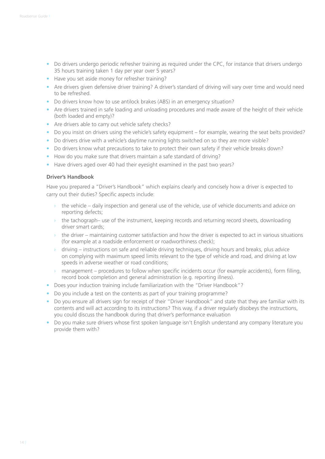- Do drivers undergo periodic refresher training as required under the CPC, for instance that drivers undergo 35 hours training taken 1 day per year over 5 years?
- Have you set aside money for refresher training?
- Are drivers given defensive driver training? A driver's standard of driving will vary over time and would need to be refreshed.
- Do drivers know how to use antilock brakes (ABS) in an emergency situation?
- Are drivers trained in safe loading and unloading procedures and made aware of the height of their vehicle (both loaded and empty)?
- Are drivers able to carry out vehicle safety checks?
- Do you insist on drivers using the vehicle's safety equipment for example, wearing the seat belts provided?
- Do drivers drive with a vehicle's daytime running lights switched on so they are more visible?
- Do drivers know what precautions to take to protect their own safety if their vehicle breaks down?
- How do you make sure that drivers maintain a safe standard of driving?
- Have drivers aged over 40 had their eyesight examined in the past two years?

#### **Driver's Handbook**

Have you prepared a "Driver's Handbook" which explains clearly and concisely how a driver is expected to carry out their duties? Specific aspects include:

- $\rightarrow$  the vehicle daily inspection and general use of the vehicle, use of vehicle documents and advice on reporting defects;
- $\rightarrow$  the tachograph– use of the instrument, keeping records and returning record sheets, downloading driver smart cards;
- $\rightarrow$  the driver maintaining customer satisfaction and how the driver is expected to act in various situations (for example at a roadside enforcement or roadworthiness check);
- › driving instructions on safe and reliable driving techniques, driving hours and breaks, plus advice on complying with maximum speed limits relevant to the type of vehicle and road, and driving at low speeds in adverse weather or road conditions;
- › management procedures to follow when specific incidents occur (for example accidents), form filling, record book completion and general administration (e.g. reporting illness).
- Does your induction training include familiarization with the "Driver Handbook"?
- Do you include a test on the contents as part of your training programme?
- Do you ensure all drivers sign for receipt of their "Driver Handbook" and state that they are familiar with its contents and will act according to its instructions? This way, if a driver regularly disobeys the instructions, you could discuss the handbook during that driver's performance evaluation
- Do you make sure drivers whose first spoken language isn't English understand any company literature you provide them with?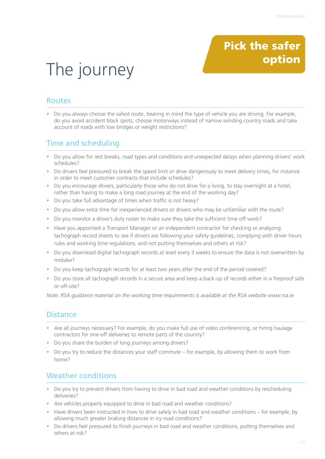### Pick the safer option

## The journey

#### Routes

• Do you always choose the safest route, bearing in mind the type of vehicle you are driving. For example, do you avoid accident black spots, choose motorways instead of narrow winding country roads and take account of roads with low bridges or weight restrictions?

#### Time and scheduling

- Do you allow for rest breaks, road types and conditions and unexpected delays when planning drivers' work schedules?
- Do drivers feel pressured to break the speed limit or drive dangerously to meet delivery times, for instance in order to meet customer contracts that include schedules?
- Do you encourage drivers, particularly those who do not drive for a living, to stay overnight at a hotel, rather than having to make a long road journey at the end of the working day?
- Do you take full advantage of times when traffic is not heavy?
- Do you allow extra time for inexperienced drivers or drivers who may be unfamiliar with the route?
- Do you monitor a driver's duty roster to make sure they take the sufficient time off work?
- Have you appointed a Transport Manager or an independent contractor for checking or analyzing tachograph record sheets to see if drivers are following your safety guidelines, complying with driver hours rules and working time regulations, and not putting themselves and others at risk?
- Do you download digital tachograph records at least every 3 weeks to ensure the data is not overwritten by mistake?
- Do you keep tachograph records for at least two years after the end of the period covered?
- Do you store all tachograph records in a secure area and keep a back-up of records either in a fireproof safe or off-site?

*Note: RSA guidance material on the working time requirements is available at the RSA website www.rsa.ie*

#### **Distance**

- Are all journeys necessary? For example, do you make full use of video conferencing, or hiring haulage contractors for one-off deliveries to remote parts of the country?
- Do you share the burden of long journeys among drivers?
- Do you try to reduce the distances your staff commute for example, by allowing them to work from home?

#### Weather conditions

- Do you try to prevent drivers from having to drive in bad road and weather conditions by rescheduling deliveries?
- Are vehicles properly equipped to drive in bad road and weather conditions?
- Have drivers been instructed in how to drive safely in bad road and weather conditions for example, by allowing much greater braking distances in icy road conditions?
- Do drivers feel pressured to finish journeys in bad road and weather conditions, putting themselves and others at risk?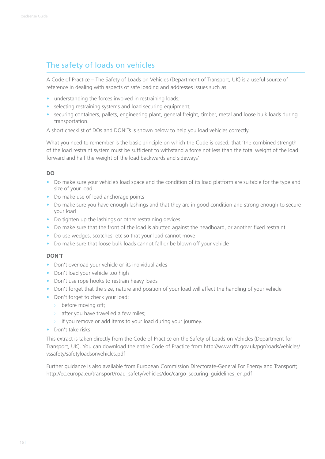#### The safety of loads on vehicles

A Code of Practice – The Safety of Loads on Vehicles (Department of Transport, UK) is a useful source of reference in dealing with aspects of safe loading and addresses issues such as:

- understanding the forces involved in restraining loads;
- selecting restraining systems and load securing equipment;
- securing containers, pallets, engineering plant, general freight, timber, metal and loose bulk loads during transportation.

A short checklist of DOs and DON'Ts is shown below to help you load vehicles correctly.

What you need to remember is the basic principle on which the Code is based, that 'the combined strength of the load restraint system must be sufficient to withstand a force not less than the total weight of the load forward and half the weight of the load backwards and sideways'.

#### **DO**

- Do make sure your vehicle's load space and the condition of its load platform are suitable for the type and size of your load
- Do make use of load anchorage points
- Do make sure you have enough lashings and that they are in good condition and strong enough to secure your load
- Do tighten up the lashings or other restraining devices
- Do make sure that the front of the load is abutted against the headboard, or another fixed restraint
- Do use wedges, scotches, etc so that your load cannot move
- Do make sure that loose bulk loads cannot fall or be blown off your vehicle

#### **DON'T**

- Don't overload your vehicle or its individual axles
- Don't load your vehicle too high
- Don't use rope hooks to restrain heavy loads
- Don't forget that the size, nature and position of your load will affect the handling of your vehicle
- Don't forget to check your load:
	- › before moving off;
	- $\rightarrow$  after you have travelled a few miles;
	- $\rightarrow$  if you remove or add items to your load during your journey.
- Don't take risks.

This extract is taken directly from the Code of Practice on the Safety of Loads on Vehicles (Department for Transport, UK). You can download the entire Code of Practice from http://www.dft.gov.uk/pgr/roads/vehicles/ vssafety/safetyloadsonvehicles.pdf

Further guidance is also available from European Commission Directorate-General For Energy and Transport; http://ec.europa.eu/transport/road\_safety/vehicles/doc/cargo\_securing\_guidelines\_en.pdf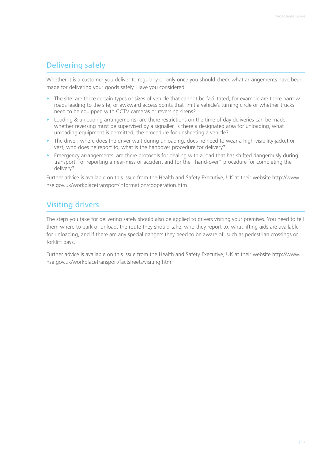#### Delivering safely

Whether it is a customer you deliver to regularly or only once you should check what arrangements have been made for delivering your goods safely. Have you considered:

- The site: are there certain types or sizes of vehicle that cannot be facilitated, for example are there narrow roads leading to the site, or awkward access points that limit a vehicle's turning circle or whether trucks need to be equipped with CCTV cameras or reversing sirens?
- Loading & unloading arrangements: are there restrictions on the time of day deliveries can be made, whether reversing must be supervised by a signaller, is there a designated area for unloading, what unloading equipment is permitted, the procedure for unsheeting a vehicle?
- The driver: where does the driver wait during unloading, does he need to wear a high-visibility jacket or vest, who does he report to, what is the handover procedure for delivery?
- Emergency arrangements: are there protocols for dealing with a load that has shifted dangerously during transport, for reporting a near-miss or accident and for the "hand-over" procedure for completing the delivery?

Further advice is available on this issue from the Health and Safety Executive, UK at their website http://www. hse.gov.uk/workplacetransport/information/cooperation.htm

#### Visiting drivers

The steps you take for delivering safely should also be applied to drivers visiting your premises. You need to tell them where to park or unload, the route they should take, who they report to, what lifting aids are available for unloading, and if there are any special dangers they need to be aware of, such as pedestrian crossings or forklift bays.

Further advice is available on this issue from the Health and Safety Executive, UK at their website http://www. hse.gov.uk/workplacetransport/factsheets/visiting.htm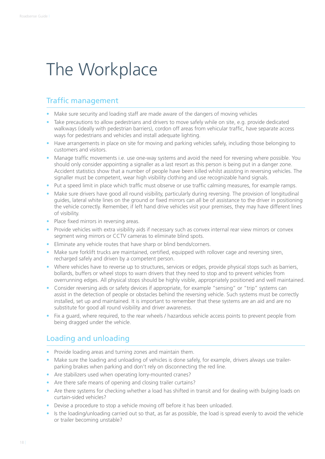### The Workplace

#### Traffic management

- Make sure security and loading staff are made aware of the dangers of moving vehicles
- Take precautions to allow pedestrians and drivers to move safely while on site, e.g. provide dedicated walkways (ideally with pedestrian barriers), cordon off areas from vehicular traffic, have separate access ways for pedestrians and vehicles and install adequate lighting.
- Have arrangements in place on site for moving and parking vehicles safely, including those belonging to customers and visitors.
- Manage traffic movements i.e. use one-way systems and avoid the need for reversing where possible. You should only consider appointing a signaller as a last resort as this person is being put in a danger zone. Accident statistics show that a number of people have been killed whilst assisting in reversing vehicles. The signaller must be competent, wear high visibility clothing and use recognizable hand signals.
- Put a speed limit in place which traffic must observe or use traffic calming measures, for example ramps.
- Make sure drivers have good all round visibility, particularly during reversing. The provision of longitudinal guides, lateral white lines on the ground or fixed mirrors can all be of assistance to the driver in positioning the vehicle correctly. Remember, if left hand drive vehicles visit your premises, they may have different lines of visibility.
- Place fixed mirrors in reversing areas.
- Provide vehicles with extra visibility aids if necessary such as convex internal rear view mirrors or convex segment wing mirrors or CCTV cameras to eliminate blind spots.
- Eliminate any vehicle routes that have sharp or blind bends/corners.
- Make sure forklift trucks are maintained, certified, equipped with rollover cage and reversing siren, recharged safely and driven by a competent person.
- Where vehicles have to reverse up to structures, services or edges, provide physical stops such as barriers, bollards, buffers or wheel stops to warn drivers that they need to stop and to prevent vehicles from overrunning edges. All physical stops should be highly visible, appropriately positioned and well maintained.
- Consider reversing aids or safety devices if appropriate, for example "sensing" or "trip" systems can assist in the detection of people or obstacles behind the reversing vehicle. Such systems must be correctly installed, set up and maintained. It is important to remember that these systems are an aid and are no substitute for good all round visibility and driver awareness.
- Fix a guard, where required, to the rear wheels / hazardous vehicle access points to prevent people from being dragged under the vehicle.

#### Loading and unloading

- Provide loading areas and turning zones and maintain them.
- Make sure the loading and unloading of vehicles is done safely, for example, drivers always use trailerparking brakes when parking and don't rely on disconnecting the red line.
- Are stabilizers used when operating lorry-mounted cranes?
- Are there safe means of opening and closing trailer curtains?
- Are there systems for checking whether a load has shifted in transit and for dealing with bulging loads on curtain-sided vehicles?
- Devise a procedure to stop a vehicle moving off before it has been unloaded.
- Is the loading/unloading carried out so that, as far as possible, the load is spread evenly to avoid the vehicle or trailer becoming unstable?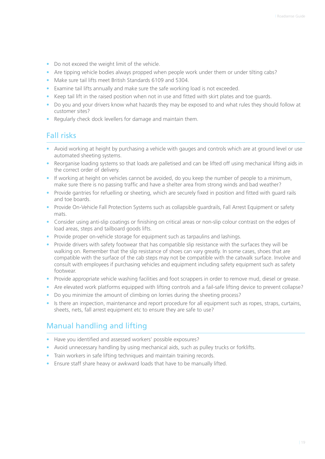- Do not exceed the weight limit of the vehicle.
- Are tipping vehicle bodies always propped when people work under them or under tilting cabs?
- Make sure tail lifts meet British Standards 6109 and 5304.
- Examine tail lifts annually and make sure the safe working load is not exceeded.
- Keep tail lift in the raised position when not in use and fitted with skirt plates and toe guards.
- Do you and your drivers know what hazards they may be exposed to and what rules they should follow at customer sites?
- Regularly check dock levellers for damage and maintain them.

#### Fall risks

- Avoid working at height by purchasing a vehicle with gauges and controls which are at ground level or use automated sheeting systems.
- Reorganise loading systems so that loads are palletised and can be lifted off using mechanical lifting aids in the correct order of delivery.
- If working at height on vehicles cannot be avoided, do you keep the number of people to a minimum, make sure there is no passing traffic and have a shelter area from strong winds and bad weather?
- Provide gantries for refuelling or sheeting, which are securely fixed in position and fitted with guard rails and toe boards.
- Provide On-Vehicle Fall Protection Systems such as collapsible guardrails, Fall Arrest Equipment or safety mats.
- Consider using anti-slip coatings or finishing on critical areas or non-slip colour contrast on the edges of load areas, steps and tailboard goods lifts.
- Provide proper on-vehicle storage for equipment such as tarpaulins and lashings.
- Provide drivers with safety footwear that has compatible slip resistance with the surfaces they will be walking on. Remember that the slip resistance of shoes can vary greatly. In some cases, shoes that are compatible with the surface of the cab steps may not be compatible with the catwalk surface. Involve and consult with employees if purchasing vehicles and equipment including safety equipment such as safety footwear.
- Provide appropriate vehicle washing facilities and foot scrappers in order to remove mud, diesel or grease.
- Are elevated work platforms equipped with lifting controls and a fail-safe lifting device to prevent collapse?
- Do you minimize the amount of climbing on lorries during the sheeting process?
- Is there an inspection, maintenance and report procedure for all equipment such as ropes, straps, curtains, sheets, nets, fall arrest equipment etc to ensure they are safe to use?

#### Manual handling and lifting

- Have you identified and assessed workers' possible exposures?
- Avoid unnecessary handling by using mechanical aids, such as pulley trucks or forklifts.
- Train workers in safe lifting techniques and maintain training records.
- Ensure staff share heavy or awkward loads that have to be manually lifted.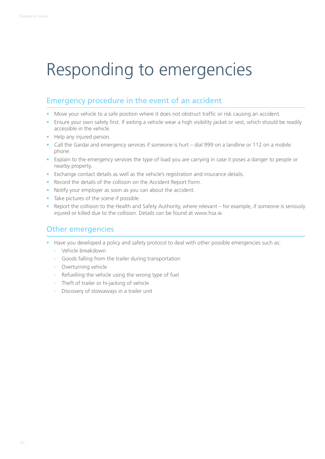## Responding to emergencies

#### Emergency procedure in the event of an accident

- Move your vehicle to a safe position where it does not obstruct traffic or risk causing an accident.
- Ensure your own safety first. If exiting a vehicle wear a high visibility jacket or vest, which should be readily accessible in the vehicle.
- Help any injured person.
- Call the Gardai and emergency services if someone is hurt dial 999 on a landline or 112 on a mobile phone.
- Explain to the emergency services the type of load you are carrying in case it poses a danger to people or nearby property.
- Exchange contact details as well as the vehicle's registration and insurance details.
- Record the details of the collision on the Accident Report Form.
- Notify your employer as soon as you can about the accident.
- Take pictures of the scene if possible.
- Report the collision to the Health and Safety Authority, where relevant for example, if someone is seriously injured or killed due to the collision. Details can be found at www.hsa.ie.

#### Other emergencies

- Have you developed a policy and safety protocol to deal with other possible emergencies such as:
	- › Vehicle breakdown
	- $\rightarrow$  Goods falling from the trailer during transportation
	- › Overturning vehicle
	- $\rightarrow$  Refuelling the vehicle using the wrong type of fuel
	- › Theft of trailer or hi-jacking of vehicle
	- $\rightarrow$  Discovery of stowaways in a trailer unit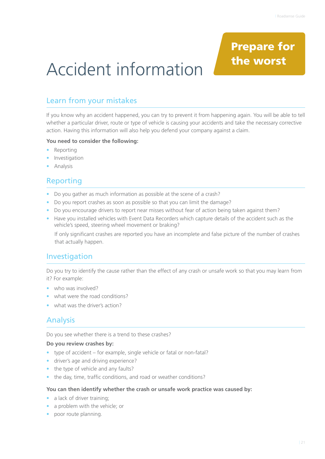### Prepare for the worst

## Accident information

#### Learn from your mistakes

If you know why an accident happened, you can try to prevent it from happening again. You will be able to tell whether a particular driver, route or type of vehicle is causing your accidents and take the necessary corrective action. Having this information will also help you defend your company against a claim.

#### **You need to consider the following:**

- Reporting
- **•** Investigation
- Analysis

#### Reporting

- Do you gather as much information as possible at the scene of a crash?
- Do you report crashes as soon as possible so that you can limit the damage?
- Do you encourage drivers to report near misses without fear of action being taken against them?
- Have you installed vehicles with Event Data Recorders which capture details of the accident such as the vehicle's speed, steering wheel movement or braking?

 If only significant crashes are reported you have an incomplete and false picture of the number of crashes that actually happen.

#### Investigation

Do you try to identify the cause rather than the effect of any crash or unsafe work so that you may learn from it? For example:

- who was involved?
- what were the road conditions?
- what was the driver's action?

#### Analysis

Do you see whether there is a trend to these crashes?

#### **Do you review crashes by:**

- type of accident for example, single vehicle or fatal or non-fatal?
- driver's age and driving experience?
- the type of vehicle and any faults?
- the day, time, traffic conditions, and road or weather conditions?

#### **You can then identify whether the crash or unsafe work practice was caused by:**

- a lack of driver training;
- a problem with the vehicle; or
- poor route planning.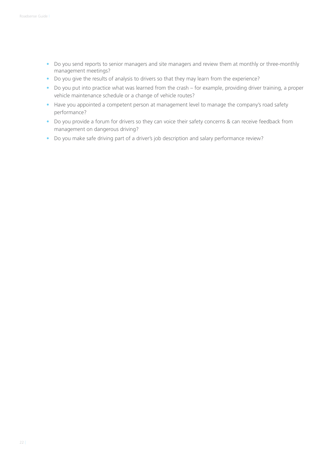- Do you send reports to senior managers and site managers and review them at monthly or three-monthly management meetings?
- Do you give the results of analysis to drivers so that they may learn from the experience?
- Do you put into practice what was learned from the crash for example, providing driver training, a proper vehicle maintenance schedule or a change of vehicle routes?
- Have you appointed a competent person at management level to manage the company's road safety performance?
- Do you provide a forum for drivers so they can voice their safety concerns & can receive feedback from management on dangerous driving?
- Do you make safe driving part of a driver's job description and salary performance review?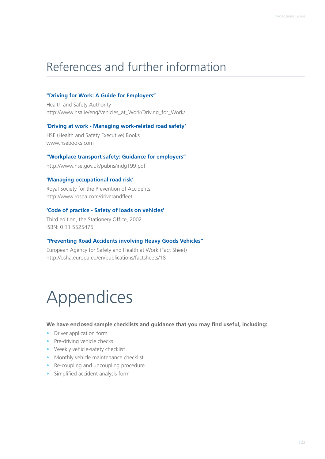### References and further information

#### **"Driving for Work: A Guide for Employers"**

Health and Safety Authority http://www.hsa.ie/eng/Vehicles\_at\_Work/Driving\_for\_Work/

#### **'Driving at work - Managing work-related road safety'**

HSE (Health and Safety Executive) Books www.hsebooks.com

#### **"Workplace transport safety: Guidance for employers"**

http://www.hse.gov.uk/pubns/indg199.pdf

#### **'Managing occupational road risk'**

Royal Society for the Prevention of Accidents http://www.rospa.com/driverandfleet

#### **'Code of practice - Safety of loads on vehicles'**

Third edition, the Stationery Office, 2002 ISBN: 0 11 5525475

#### **"Preventing Road Accidents involving Heavy Goods Vehicles"**

European Agency for Safety and Health at Work (Fact Sheet) http://osha.europa.eu/en/publications/factsheets/18

### Appendices

**We have enclosed sample checklists and guidance that you may find useful, including:**

- Driver application form
- Pre-driving vehicle checks
- Weekly vehicle-safety checklist
- Monthly vehicle maintenance checklist
- Re-coupling and uncoupling procedure
- Simplified accident analysis form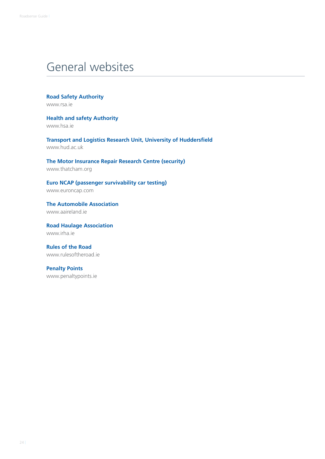### General websites

**Road Safety Authority** www.rsa.ie

**Health and safety Authority** www.hsa.ie

**Transport and Logistics Research Unit, University of Huddersfield** www.hud.ac.uk

**The Motor Insurance Repair Research Centre (security)** www.thatcham.org

**Euro NCAP (passenger survivability car testing)** www.euroncap.com

**The Automobile Association** www.aaireland.ie

**Road Haulage Association** www.irha.ie

**Rules of the Road** www.rulesoftheroad.ie

**Penalty Points** www.penaltypoints.ie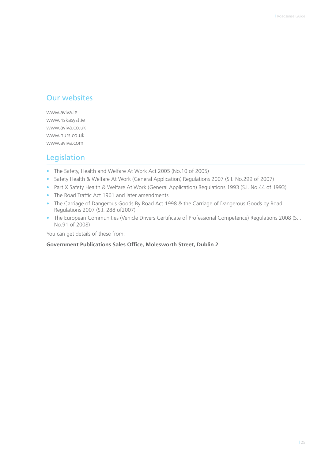#### Our websites

www.aviva.ie www.riskasyst.ie www.aviva.co.uk www.nurs.co.uk www.aviva.com

#### Legislation

- The Safety, Health and Welfare At Work Act 2005 (No.10 of 2005)
- Safety Health & Welfare At Work (General Application) Regulations 2007 (S.I. No.299 of 2007)
- Part X Safety Health & Welfare At Work (General Application) Regulations 1993 (S.I. No.44 of 1993)
- The Road Traffic Act 1961 and later amendments
- The Carriage of Dangerous Goods By Road Act 1998 & the Carriage of Dangerous Goods by Road Regulations 2007 (S.I. 288 of2007)
- The European Communities (Vehicle Drivers Certificate of Professional Competence) Regulations 2008 (S.I. No.91 of 2008)

You can get details of these from:

#### **Government Publications Sales Office, Molesworth Street, Dublin 2**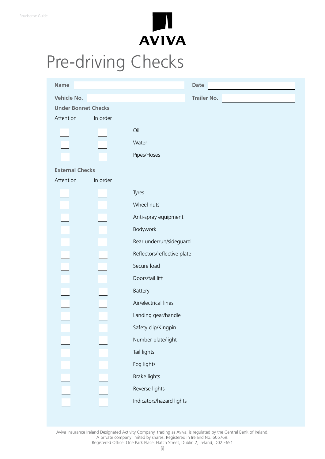

## Pre-driving Checks

| <b>Name</b>                |          |                                                   | <b>Date</b>        |
|----------------------------|----------|---------------------------------------------------|--------------------|
| Vehicle No.                |          | <u> 1980 - Johann Barbara, martxa alemaniar a</u> | <b>Trailer No.</b> |
| <b>Under Bonnet Checks</b> |          |                                                   |                    |
| Attention                  | In order |                                                   |                    |
|                            |          | Oil                                               |                    |
|                            |          | Water                                             |                    |
|                            |          | Pipes/Hoses                                       |                    |
| <b>External Checks</b>     |          |                                                   |                    |
| Attention                  | In order |                                                   |                    |
|                            |          | Tyres                                             |                    |
|                            |          | Wheel nuts                                        |                    |
|                            |          | Anti-spray equipment                              |                    |
|                            |          | Bodywork                                          |                    |
|                            |          | Rear underrun/sideguard                           |                    |
|                            |          | Reflectors/reflective plate                       |                    |
|                            |          | Secure load                                       |                    |
|                            |          | Doors/tail lift                                   |                    |
|                            |          | Battery                                           |                    |
|                            |          | Air/electrical lines                              |                    |
|                            |          | Landing gear/handle                               |                    |
|                            |          | Safety clip/Kingpin                               |                    |
|                            |          | Number plate/light                                |                    |
|                            |          | Tail lights                                       |                    |
|                            |          | Fog lights                                        |                    |
|                            |          | Brake lights                                      |                    |
|                            |          | Reverse lights                                    |                    |
|                            |          | Indicators/hazard lights                          |                    |
|                            |          |                                                   |                    |

Aviva Insurance Ireland Designated Activity Company, trading as Aviva, is regulated by the Central Bank of Ireland. A private company limited by shares. Registered in Ireland No. 605769. Registered Office: One Park Place, Hatch Street, Dublin 2, Ireland, D02 E651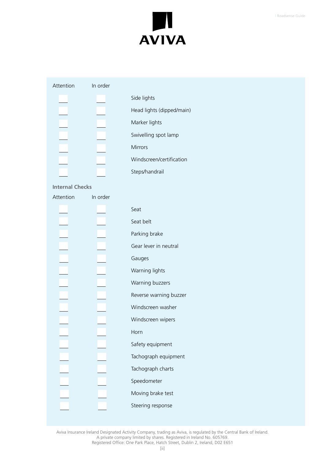

|  | Attention |  |  |
|--|-----------|--|--|

#### order

|  | Side lights               |
|--|---------------------------|
|  | Head lights (dipped/main) |
|  | Marker lights             |
|  | Swivelling spot lamp      |
|  | <b>Mirrors</b>            |
|  | Windscreen/certification  |
|  | Steps/handrail            |

#### **Internal Checks**

| Attention | In order |                        |
|-----------|----------|------------------------|
|           |          | Seat                   |
|           |          | Seat belt              |
|           |          | Parking brake          |
|           |          | Gear lever in neutral  |
|           |          | Gauges                 |
|           |          | Warning lights         |
|           |          | Warning buzzers        |
|           |          | Reverse warning buzzer |
|           |          | Windscreen washer      |
|           |          | Windscreen wipers      |
|           |          | Horn                   |
|           |          | Safety equipment       |
|           |          | Tachograph equipment   |
|           |          | Tachograph charts      |
|           |          | Speedometer            |
|           |          | Moving brake test      |
|           |          | Steering response      |

Aviva Insurance Ireland Designated Activity Company, trading as Aviva, is regulated by the Central Bank of Ireland. A private company limited by shares. Registered in Ireland No. 605769. Registered Office: One Park Place, Hatch Street, Dublin 2, Ireland, D02 E651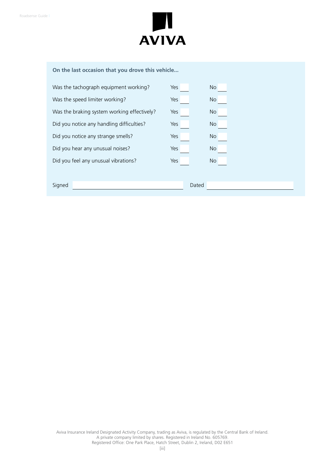

#### **On the last occasion that you drove this vehicle...**

| Was the tachograph equipment working?<br>Was the speed limiter working?<br>Yes<br><b>No</b><br>Was the braking system working effectively?<br>Yes<br><b>No</b><br>Did you notice any handling difficulties?<br>Yes<br>No<br>Did you notice any strange smells?<br>Yes<br><b>No</b> |
|------------------------------------------------------------------------------------------------------------------------------------------------------------------------------------------------------------------------------------------------------------------------------------|
|                                                                                                                                                                                                                                                                                    |
|                                                                                                                                                                                                                                                                                    |
|                                                                                                                                                                                                                                                                                    |
|                                                                                                                                                                                                                                                                                    |
| Did you hear any unusual noises?<br>Yes<br><b>No</b>                                                                                                                                                                                                                               |
| Did you feel any unusual vibrations?<br>Yes<br>No                                                                                                                                                                                                                                  |
|                                                                                                                                                                                                                                                                                    |
| Signed<br>Dated                                                                                                                                                                                                                                                                    |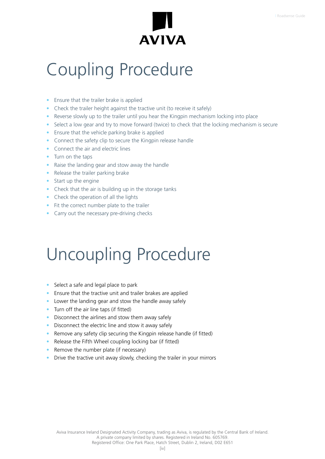

### Coupling Procedure

- Ensure that the trailer brake is applied
- Check the trailer height against the tractive unit (to receive it safely)
- Reverse slowly up to the trailer until you hear the Kingpin mechanism locking into place
- Select a low gear and try to move forward (twice) to check that the locking mechanism is secure
- Ensure that the vehicle parking brake is applied
- Connect the safety clip to secure the Kingpin release handle
- Connect the air and electric lines
- Turn on the taps
- Raise the landing gear and stow away the handle
- Release the trailer parking brake
- Start up the engine
- Check that the air is building up in the storage tanks
- Check the operation of all the lights
- Fit the correct number plate to the trailer
- Carry out the necessary pre-driving checks

### Uncoupling Procedure

- Select a safe and legal place to park
- Ensure that the tractive unit and trailer brakes are applied
- Lower the landing gear and stow the handle away safely
- Turn off the air line taps (if fitted)
- Disconnect the airlines and stow them away safely
- Disconnect the electric line and stow it away safely
- Remove any safety clip securing the Kingpin release handle (if fitted)
- Release the Fifth Wheel coupling locking bar (if fitted)
- Remove the number plate (if necessary)
- Drive the tractive unit away slowly, checking the trailer in your mirrors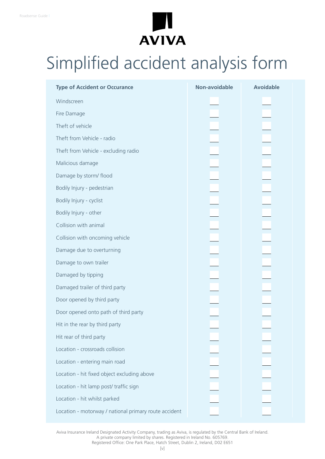

## Simplified accident analysis form

| <b>Type of Accident or Occurance</b>                  | <b>Non-avoidable</b> | <b>Avoidable</b>             |
|-------------------------------------------------------|----------------------|------------------------------|
| Windscreen                                            |                      |                              |
| Fire Damage                                           |                      |                              |
| Theft of vehicle                                      |                      |                              |
| Theft from Vehicle - radio                            |                      | ▁▅▅▅▅▅▅▅▅▅▅▅▅▅▅▅▅▅▅▅▅▅▅▅▅▅▅▅ |
| Theft from Vehicle - excluding radio                  |                      |                              |
| Malicious damage                                      |                      |                              |
| Damage by storm/ flood                                |                      |                              |
| Bodily Injury - pedestrian                            |                      |                              |
| Bodily Injury - cyclist                               |                      |                              |
| Bodily Injury - other                                 |                      |                              |
| Collision with animal                                 |                      |                              |
| Collision with oncoming vehicle                       |                      |                              |
| Damage due to overturning                             |                      |                              |
| Damage to own trailer                                 |                      |                              |
| Damaged by tipping                                    |                      |                              |
| Damaged trailer of third party                        |                      |                              |
| Door opened by third party                            |                      |                              |
| Door opened onto path of third party                  |                      |                              |
| Hit in the rear by third party                        |                      |                              |
| Hit rear of third party                               |                      |                              |
| Location - crossroads collision                       |                      |                              |
| Location - entering main road                         |                      |                              |
| Location - hit fixed object excluding above           |                      |                              |
| Location - hit lamp post/ traffic sign                |                      |                              |
| Location - hit whilst parked                          |                      |                              |
| Location - motorway / national primary route accident |                      |                              |

Aviva Insurance Ireland Designated Activity Company, trading as Aviva, is regulated by the Central Bank of Ireland. A private company limited by shares. Registered in Ireland No. 605769. Registered Office: One Park Place, Hatch Street, Dublin 2, Ireland, D02 E651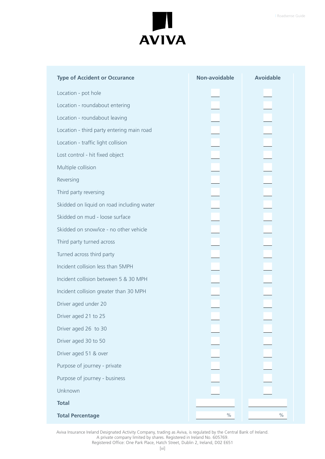

| <b>Type of Accident or Occurance</b>      | Non-avoidable | <b>Avoidable</b> |
|-------------------------------------------|---------------|------------------|
| Location - pot hole                       |               |                  |
| Location - roundabout entering            |               |                  |
| Location - roundabout leaving             |               |                  |
| Location - third party entering main road |               |                  |
| Location - traffic light collision        |               |                  |
| Lost control - hit fixed object           |               |                  |
| Multiple collision                        |               |                  |
| Reversing                                 |               |                  |
| Third party reversing                     |               |                  |
| Skidded on liquid on road including water |               |                  |
| Skidded on mud - loose surface            |               |                  |
| Skidded on snow/ice - no other vehicle    |               |                  |
| Third party turned across                 |               |                  |
| Turned across third party                 |               |                  |
| Incident collision less than 5MPH         |               |                  |
| Incident collision between 5 & 30 MPH     |               |                  |
| Incident collision greater than 30 MPH    |               |                  |
| Driver aged under 20                      |               |                  |
| Driver aged 21 to 25                      |               |                  |
| Driver aged 26 to 30                      |               |                  |
| Driver aged 30 to 50                      |               |                  |
| Driver aged 51 & over                     |               |                  |
| Purpose of journey - private              |               |                  |
| Purpose of journey - business             |               |                  |
| Unknown                                   |               |                  |
| <b>Total</b>                              |               |                  |
| <b>Total Percentage</b>                   | $\%$          | $\%$             |

Aviva Insurance Ireland Designated Activity Company, trading as Aviva, is regulated by the Central Bank of Ireland. A private company limited by shares. Registered in Ireland No. 605769.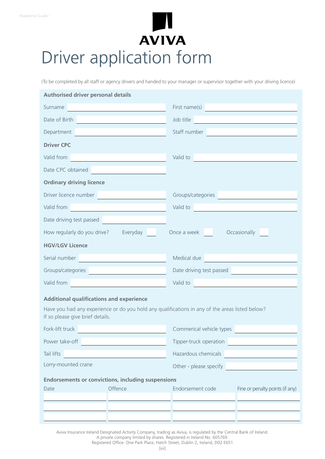## **AVIVA** Driver application form

(To be completed by all staff or agency drivers and handed to your manager or supervisor together with your driving licence)

| <b>Authorised driver personal details</b>                                                                                                                                                                                            |                                                                                                                                                                                                                                              |                                                                                                                                                                                                                                |                                 |  |  |
|--------------------------------------------------------------------------------------------------------------------------------------------------------------------------------------------------------------------------------------|----------------------------------------------------------------------------------------------------------------------------------------------------------------------------------------------------------------------------------------------|--------------------------------------------------------------------------------------------------------------------------------------------------------------------------------------------------------------------------------|---------------------------------|--|--|
| Surname and the contract of the contract of the contract of the contract of the contract of the contract of the                                                                                                                      |                                                                                                                                                                                                                                              | First name(s)                                                                                                                                                                                                                  |                                 |  |  |
| Date of Birth <b>Exercise 2020</b>                                                                                                                                                                                                   |                                                                                                                                                                                                                                              | Job title                                                                                                                                                                                                                      |                                 |  |  |
| Department                                                                                                                                                                                                                           |                                                                                                                                                                                                                                              | Staff number <b>Exercise 2020</b>                                                                                                                                                                                              |                                 |  |  |
| <b>Driver CPC</b>                                                                                                                                                                                                                    |                                                                                                                                                                                                                                              |                                                                                                                                                                                                                                |                                 |  |  |
| Valid from                                                                                                                                                                                                                           |                                                                                                                                                                                                                                              | Valid to the contract of the contract of the contract of the contract of the contract of the contract of the contract of the contract of the contract of the contract of the contract of the contract of the contract of the c |                                 |  |  |
| Date CPC obtained<br><br><u> </u>                                                                                                                                                                                                    |                                                                                                                                                                                                                                              |                                                                                                                                                                                                                                |                                 |  |  |
| <b>Ordinary driving licence</b>                                                                                                                                                                                                      |                                                                                                                                                                                                                                              |                                                                                                                                                                                                                                |                                 |  |  |
| Driver licence number                                                                                                                                                                                                                |                                                                                                                                                                                                                                              | Groups/categories                                                                                                                                                                                                              |                                 |  |  |
| Valid from the contract of the contract of the contract of the contract of the contract of the contract of the contract of the contract of the contract of the contract of the contract of the contract of the contract of the       |                                                                                                                                                                                                                                              | Valid to a contract to the contract of the contract of the contract of the contract of the contract of the contract of the contract of the contract of the contract of the contract of the contract of the contract of the con |                                 |  |  |
|                                                                                                                                                                                                                                      |                                                                                                                                                                                                                                              |                                                                                                                                                                                                                                |                                 |  |  |
| How regularly do you drive? Everyday                                                                                                                                                                                                 |                                                                                                                                                                                                                                              | Once a week Occasionally                                                                                                                                                                                                       |                                 |  |  |
| <b>HGV/LGV Licence</b>                                                                                                                                                                                                               |                                                                                                                                                                                                                                              |                                                                                                                                                                                                                                |                                 |  |  |
| Serial number <b>contract to the contract of the contract of the contract of the contract of the contract of the contract of the contract of the contract of the contract of the contract of the contract of the contract of the</b> |                                                                                                                                                                                                                                              | Medical due                                                                                                                                                                                                                    |                                 |  |  |
|                                                                                                                                                                                                                                      | Date driving test passed<br>Groups/categories                                                                                                                                                                                                |                                                                                                                                                                                                                                |                                 |  |  |
|                                                                                                                                                                                                                                      | Valid to a contract to the contract of the contract of the contract of the contract of the contract of the contract of the contract of the contract of the contract of the contract of the contract of the contract of the con<br>Valid from |                                                                                                                                                                                                                                |                                 |  |  |
| <b>Additional qualifications and experience</b>                                                                                                                                                                                      |                                                                                                                                                                                                                                              |                                                                                                                                                                                                                                |                                 |  |  |
| If so please give brief details.                                                                                                                                                                                                     |                                                                                                                                                                                                                                              | Have you had any experience or do you hold any qualifications in any of the areas listed below?                                                                                                                                |                                 |  |  |
| Fork-lift truck                                                                                                                                                                                                                      |                                                                                                                                                                                                                                              | Commerical vehicle types                                                                                                                                                                                                       |                                 |  |  |
| Power take-off                                                                                                                                                                                                                       |                                                                                                                                                                                                                                              | Tipper-truck operation                                                                                                                                                                                                         |                                 |  |  |
| Tail lifts                                                                                                                                                                                                                           |                                                                                                                                                                                                                                              | Hazardous chemicals                                                                                                                                                                                                            |                                 |  |  |
| Lorry-mounted crane                                                                                                                                                                                                                  | Other - please specify                                                                                                                                                                                                                       |                                                                                                                                                                                                                                |                                 |  |  |
| <b>Endorsements or convictions, including suspensions</b>                                                                                                                                                                            |                                                                                                                                                                                                                                              |                                                                                                                                                                                                                                |                                 |  |  |
| Date                                                                                                                                                                                                                                 | Offence                                                                                                                                                                                                                                      | Endorsement code                                                                                                                                                                                                               | Fine or penalty points (if any) |  |  |
|                                                                                                                                                                                                                                      |                                                                                                                                                                                                                                              |                                                                                                                                                                                                                                |                                 |  |  |
|                                                                                                                                                                                                                                      |                                                                                                                                                                                                                                              |                                                                                                                                                                                                                                |                                 |  |  |

Aviva Insurance Ireland Designated Activity Company, trading as Aviva, is regulated by the Central Bank of Ireland.

A private company limited by shares. Registered in Ireland No. 605769.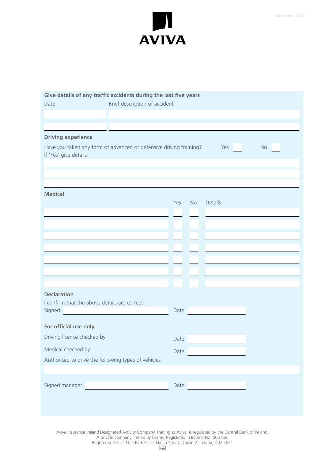

| Give details of any traffic accidents during the last five years                            |                               |      |           |         |    |
|---------------------------------------------------------------------------------------------|-------------------------------|------|-----------|---------|----|
| Date                                                                                        | Brief description of accident |      |           |         |    |
|                                                                                             |                               |      |           |         |    |
|                                                                                             |                               |      |           |         |    |
| <b>Driving experience</b>                                                                   |                               |      |           |         |    |
| Have you taken any form of advanced or defensive driving training?<br>If 'Yes' give details |                               |      |           | Yes     | No |
|                                                                                             |                               |      |           |         |    |
|                                                                                             |                               |      |           |         |    |
|                                                                                             |                               |      |           |         |    |
| <b>Medical</b>                                                                              |                               | Yes  |           |         |    |
|                                                                                             |                               |      | <b>No</b> | Details |    |
|                                                                                             |                               |      |           |         |    |
|                                                                                             |                               |      |           |         |    |
|                                                                                             |                               |      |           |         |    |
|                                                                                             |                               |      |           |         |    |
|                                                                                             |                               |      |           |         |    |
|                                                                                             |                               |      |           |         |    |
|                                                                                             |                               |      |           |         |    |
|                                                                                             |                               |      |           |         |    |
| <b>Declaration</b>                                                                          |                               |      |           |         |    |
| I confirm that the above details are correct<br>Signed                                      |                               | Date |           |         |    |
|                                                                                             |                               |      |           |         |    |
| For official use only                                                                       |                               |      |           |         |    |
| Driving licence checked by                                                                  |                               | Date |           |         |    |
| Medical checked by                                                                          |                               | Date |           |         |    |
| Authorised to drive the following types of vehicles                                         |                               |      |           |         |    |
|                                                                                             |                               |      |           |         |    |
|                                                                                             |                               |      |           |         |    |
| Signed manager                                                                              |                               | Date |           |         |    |
|                                                                                             |                               |      |           |         |    |
|                                                                                             |                               |      |           |         |    |

Aviva Insurance Ireland Designated Activity Company, trading as Aviva, is regulated by the Central Bank of Ireland.

A private company limited by shares. Registered in Ireland No. 605769.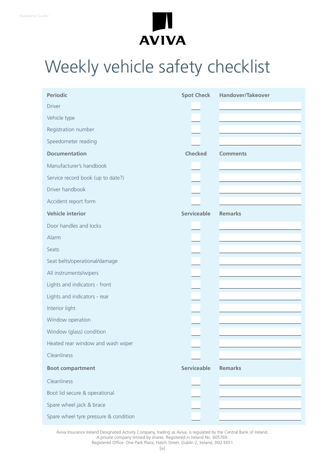

## Weekly vehicle safety checklist

| <b>Periodic</b>                       | <b>Spot Check</b>  | <b>Handover/Takeover</b> |
|---------------------------------------|--------------------|--------------------------|
| <b>Driver</b>                         |                    |                          |
| Vehicle type                          |                    |                          |
| Registration number                   |                    |                          |
| Speedometer reading                   |                    |                          |
| <b>Documentation</b>                  | <b>Checked</b>     | <b>Comments</b>          |
| Manufacturer's handbook               |                    |                          |
| Service record book (up to date?)     |                    |                          |
| Driver handbook                       |                    |                          |
| Accident report form                  |                    |                          |
| <b>Vehicle interior</b>               | <b>Serviceable</b> | <b>Remarks</b>           |
| Door handles and locks                |                    |                          |
| Alarm                                 |                    |                          |
| Seats                                 |                    |                          |
| Seat belts/operational/damage         |                    |                          |
| All instruments/wipers                |                    |                          |
| Lights and indicators - front         |                    |                          |
| Lights and indicators - rear          |                    |                          |
| Interior light                        |                    |                          |
| Window operation                      |                    |                          |
| Window (glass) condition              |                    |                          |
| Heated rear window and wash wiper     |                    |                          |
| Cleanliness                           |                    |                          |
| <b>Boot compartment</b>               | <b>Serviceable</b> | <b>Remarks</b>           |
| Cleanliness                           |                    |                          |
| Boot lid secure & operational         |                    |                          |
| Spare wheel jack & brace              |                    |                          |
| Spare wheel tyre pressure & condition |                    |                          |

Aviva Insurance Ireland Designated Activity Company, trading as Aviva, is regulated by the Central Bank of Ireland. A private company limited by shares. Registered in Ireland No. 605769.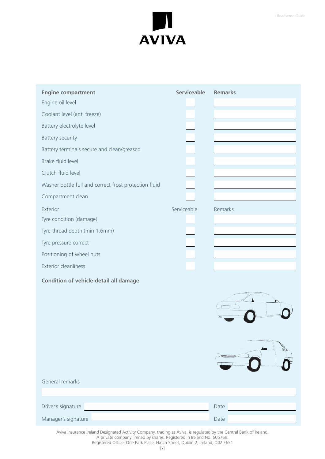

| <b>Engine compartment</b>                                                                                           | <b>Serviceable</b> | <b>Remarks</b>                                     |
|---------------------------------------------------------------------------------------------------------------------|--------------------|----------------------------------------------------|
| Engine oil level                                                                                                    |                    |                                                    |
| Coolant level (anti freeze)                                                                                         |                    |                                                    |
| Battery electrolyte level                                                                                           |                    |                                                    |
| <b>Battery security</b>                                                                                             |                    |                                                    |
| Battery terminals secure and clean/greased                                                                          |                    |                                                    |
| Brake fluid level                                                                                                   |                    |                                                    |
| Clutch fluid level                                                                                                  |                    |                                                    |
| Washer bottle full and correct frost protection fluid                                                               |                    |                                                    |
| Compartment clean                                                                                                   |                    |                                                    |
| Exterior                                                                                                            | Serviceable        | Remarks                                            |
| Tyre condition (damage)                                                                                             |                    |                                                    |
| Tyre thread depth (min 1.6mm)                                                                                       |                    |                                                    |
| Tyre pressure correct                                                                                               |                    |                                                    |
| Positioning of wheel nuts                                                                                           |                    |                                                    |
| <b>Exterior cleanliness</b>                                                                                         |                    |                                                    |
| <b>Condition of vehicle-detail all damage</b>                                                                       |                    |                                                    |
|                                                                                                                     |                    |                                                    |
|                                                                                                                     |                    |                                                    |
| General remarks                                                                                                     |                    |                                                    |
|                                                                                                                     |                    |                                                    |
| Driver's signature                                                                                                  |                    | Date<br><u> 1989 - Johann Barn, mars ann an t-</u> |
|                                                                                                                     |                    | Date                                               |
| Aviva Insurance Ireland Designated Activity Company, trading as Aviva, is regulated by the Central Bank of Ireland. |                    |                                                    |

A private company limited by shares. Registered in Ireland No. 605769.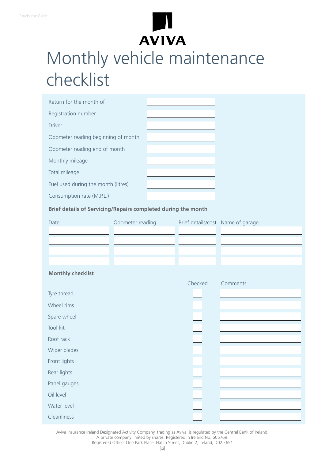# **AVIVA**

## Monthly vehicle maintenance checklist

| Return for the month of             |  |
|-------------------------------------|--|
| Registration number                 |  |
| <b>Driver</b>                       |  |
| Odometer reading beginning of month |  |
| Odometer reading end of month       |  |
| Monthly mileage                     |  |
| Total mileage                       |  |
| Fuel used during the month (litres) |  |
| Consumption rate (M.P.L.)           |  |

**Brief details of Servicing/Repairs completed during the month**

| Date                     | Odometer reading | Brief details/cost Name of garage |          |
|--------------------------|------------------|-----------------------------------|----------|
|                          |                  |                                   |          |
|                          |                  |                                   |          |
|                          |                  |                                   |          |
|                          |                  |                                   |          |
| <b>Monthly checklist</b> |                  |                                   |          |
|                          |                  | Checked                           | Comments |
| Tyre thread              |                  |                                   |          |
| Wheel rims               |                  |                                   |          |
| Spare wheel              |                  |                                   |          |
| Tool kit                 |                  |                                   |          |
| Roof rack                |                  |                                   |          |
| Wiper blades             |                  |                                   |          |
| Front lights             |                  |                                   |          |
| Rear lights              |                  |                                   |          |
| Panel gauges             |                  |                                   |          |
| Oil level                |                  |                                   |          |
| Water level              |                  |                                   |          |
| Cleanliness              |                  |                                   |          |

Aviva Insurance Ireland Designated Activity Company, trading as Aviva, is regulated by the Central Bank of Ireland.

A private company limited by shares. Registered in Ireland No. 605769.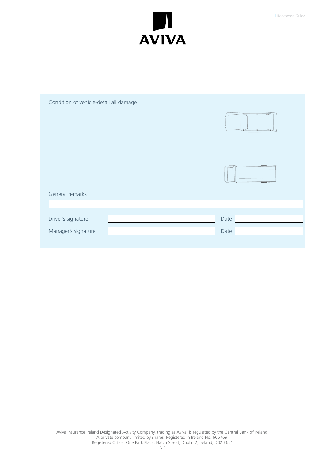

| Condition of vehicle-detail all damage |      |
|----------------------------------------|------|
|                                        |      |
| General remarks                        |      |
|                                        |      |
| Driver's signature                     | Date |
| Manager's signature                    | Date |
|                                        |      |